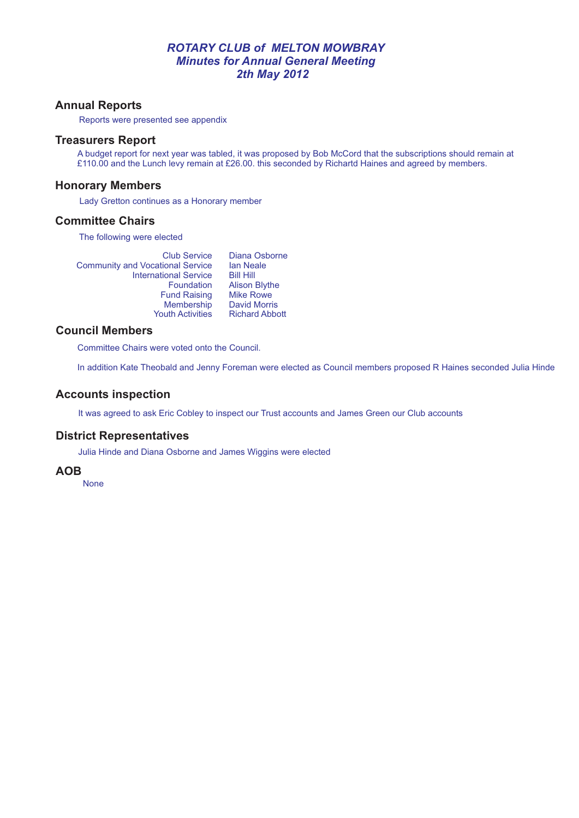### *ROTARY CLUB of MELTON MOWBRAY Minutes for Annual General Meeting 2th May 2012*

## **Annual Reports**

Reports were presented see appendix

#### **Treasurers Report**

A budget report for next year was tabled, it was proposed by Bob McCord that the subscriptions should remain at £110.00 and the Lunch levy remain at £26.00. this seconded by Richartd Haines and agreed by members.

#### **Honorary Members**

Lady Gretton continues as a Honorary member

#### **Committee Chairs**

The following were elected

| <b>Club Service</b>                     | Dian   |
|-----------------------------------------|--------|
| <b>Community and Vocational Service</b> | lan N  |
| <b>International Service</b>            | Bill F |
| Foundation                              | Aliso  |
| <b>Fund Raising</b>                     | Mike   |
| Membership                              | Davi   |
| <b>Youth Activities</b>                 | Rich   |
|                                         |        |

a Osborne Ian Neale Bill Hill on Blythe Rowe d Morris ard Abbott

## **Council Members**

Committee Chairs were voted onto the Council.

In addition Kate Theobald and Jenny Foreman were elected as Council members proposed R Haines seconded Julia Hinde

### **Accounts inspection**

It was agreed to ask Eric Cobley to inspect our Trust accounts and James Green our Club accounts

### **District Representatives**

Julia Hinde and Diana Osborne and James Wiggins were elected

### **AOB**

None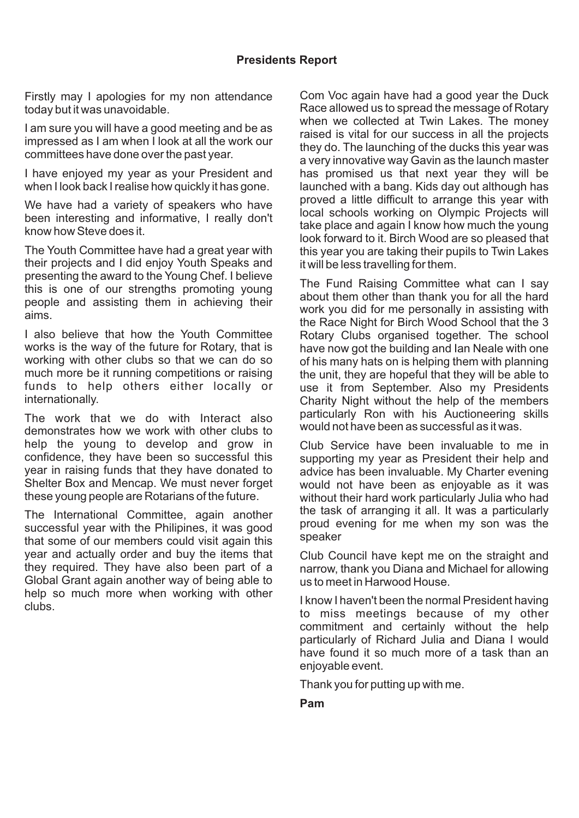Firstly may I apologies for my non attendance today but it was unavoidable.

I am sure you will have a good meeting and be as impressed as I am when I look at all the work our committees have done over the past year.

I have enjoyed my year as your President and when I look back I realise how quickly it has gone.

We have had a variety of speakers who have been interesting and informative, I really don't know how Steve does it.

The Youth Committee have had a great year with their projects and I did enjoy Youth Speaks and presenting the award to the Young Chef. I believe this is one of our strengths promoting young people and assisting them in achieving their aims.

I also believe that how the Youth Committee works is the way of the future for Rotary, that is working with other clubs so that we can do so much more be it running competitions or raising funds to help others either locally or internationally.

The work that we do with Interact also demonstrates how we work with other clubs to help the young to develop and grow in confidence, they have been so successful this year in raising funds that they have donated to Shelter Box and Mencap. We must never forget these young people are Rotarians of the future.

The International Committee, again another successful year with the Philipines, it was good that some of our members could visit again this year and actually order and buy the items that they required. They have also been part of a Global Grant again another way of being able to help so much more when working with other clubs.

Com Voc again have had a good year the Duck Race allowed us to spread the message of Rotary when we collected at Twin Lakes. The money raised is vital for our success in all the projects they do. The launching of the ducks this year was a very innovative way Gavin as the launch master has promised us that next year they will be launched with a bang. Kids day out although has proved a little difficult to arrange this year with local schools working on Olympic Projects will take place and again I know how much the young look forward to it. Birch Wood are so pleased that this year you are taking their pupils to Twin Lakes it will be less travelling for them.

The Fund Raising Committee what can I say about them other than thank you for all the hard work you did for me personally in assisting with the Race Night for Birch Wood School that the 3 Rotary Clubs organised together. The school have now got the building and Ian Neale with one of his many hats on is helping them with planning the unit, they are hopeful that they will be able to use it from September. Also my Presidents Charity Night without the help of the members particularly Ron with his Auctioneering skills would not have been as successful as it was.

Club Service have been invaluable to me in supporting my year as President their help and advice has been invaluable. My Charter evening would not have been as enjoyable as it was without their hard work particularly Julia who had the task of arranging it all. It was a particularly proud evening for me when my son was the speaker

Club Council have kept me on the straight and narrow, thank you Diana and Michael for allowing us to meet in Harwood House.

I know I haven't been the normal President having to miss meetings because of my other commitment and certainly without the help particularly of Richard Julia and Diana I would have found it so much more of a task than an enjoyable event.

Thank you for putting up with me.

**Pam**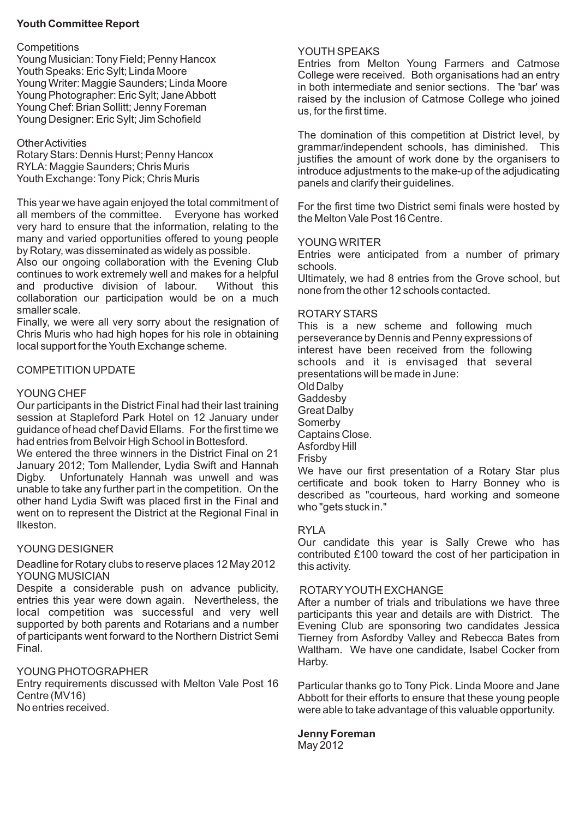## **Youth Committee Report**

#### **Competitions**

Young Musician: Tony Field; Penny Hancox Youth Speaks: Eric Sylt; Linda Moore Young Writer: Maggie Saunders; Linda Moore Young Photographer: Eric Sylt; Jane Abbott Young Chef: Brian Sollitt; Jenny Foreman Young Designer: Eric Sylt; Jim Schofield

### Other Activities

Rotary Stars: Dennis Hurst; Penny Hancox RYLA: Maggie Saunders; Chris Muris Youth Exchange: Tony Pick; Chris Muris

This year we have again enjoyed the total commitment of all members of the committee. Everyone has worked very hard to ensure that the information, relating to the many and varied opportunities offered to young people by Rotary, was disseminated as widely as possible.

Also our ongoing collaboration with the Evening Club continues to work extremely well and makes for a helpful and productive division of labour. Without this collaboration our participation would be on a much smaller scale.

Finally, we were all very sorry about the resignation of Chris Muris who had high hopes for his role in obtaining local support for the Youth Exchange scheme.

### COMPETITION UPDATE

### YOUNG CHEF

Our participants in the District Final had their last training session at Stapleford Park Hotel on 12 January under guidance of head chef David Ellams. For the first time we had entries from Belvoir High School in Bottesford.

We entered the three winners in the District Final on 21 January 2012; Tom Mallender, Lydia Swift and Hannah Digby. Unfortunately Hannah was unwell and was unable to take any further part in the competition. On the other hand Lydia Swift was placed first in the Final and went on to represent the District at the Regional Final in Ilkeston.

## YOUNG DESIGNER

### Deadline for Rotary clubs to reserve places 12 May 2012 YOUNG MUSICIAN

Despite a considerable push on advance publicity, entries this year were down again. Nevertheless, the local competition was successful and very well supported by both parents and Rotarians and a number of participants went forward to the Northern District Semi Final.

### YOUNG PHOTOGRAPHER

Entry requirements discussed with Melton Vale Post 16 Centre (MV16)

No entries received.

### YOUTH SPEAKS

Entries from Melton Young Farmers and Catmose College were received. Both organisations had an entry in both intermediate and senior sections. The 'bar' was raised by the inclusion of Catmose College who joined us, for the first time.

The domination of this competition at District level, by grammar/independent schools, has diminished. This justifies the amount of work done by the organisers to introduce adjustments to the make-up of the adjudicating panels and clarify their guidelines.

For the first time two District semi finals were hosted by the Melton Vale Post 16 Centre.

### YOUNG WRITER

Entries were anticipated from a number of primary schools.

Ultimately, we had 8 entries from the Grove school, but none from the other 12 schools contacted.

#### ROTARYSTARS

This is a new scheme and following much perseverance by Dennis and Penny expressions of interest have been received from the following schools and it is envisaged that several presentations will be made in June:

Old Dalby **Gaddesby** 

- Great Dalby Somerby Captains Close. Asfordby Hill
- Frisby

We have our first presentation of a Rotary Star plus certificate and book token to Harry Bonney who is described as "courteous, hard working and someone who "gets stuck in."

### RYLA

Our candidate this year is Sally Crewe who has contributed £100 toward the cost of her participation in this activity.

### ROTARYYOUTH EXCHANGE

After a number of trials and tribulations we have three participants this year and details are with District. The Evening Club are sponsoring two candidates Jessica Tierney from Asfordby Valley and Rebecca Bates from Waltham. We have one candidate, Isabel Cocker from Harby.

Particular thanks go to Tony Pick. Linda Moore and Jane Abbott for their efforts to ensure that these young people were able to take advantage of this valuable opportunity.

### **Jenny Foreman**

May 2012